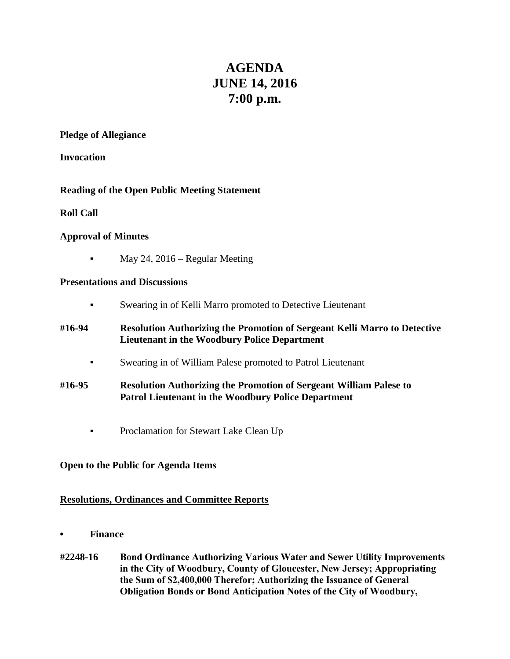# **AGENDA JUNE 14, 2016 7:00 p.m.**

#### **Pledge of Allegiance**

**Invocation** –

# **Reading of the Open Public Meeting Statement**

### **Roll Call**

# **Approval of Minutes**

May 24,  $2016$  – Regular Meeting

### **Presentations and Discussions**

- Swearing in of Kelli Marro promoted to Detective Lieutenant
- **#16-94 Resolution Authorizing the Promotion of Sergeant Kelli Marro to Detective Lieutenant in the Woodbury Police Department**
	- Swearing in of William Palese promoted to Patrol Lieutenant
- **#16-95 Resolution Authorizing the Promotion of Sergeant William Palese to Patrol Lieutenant in the Woodbury Police Department**
	- **•** Proclamation for Stewart Lake Clean Up

# **Open to the Public for Agenda Items**

# **Resolutions, Ordinances and Committee Reports**

- **• Finance**
- **#2248-16 Bond Ordinance Authorizing Various Water and Sewer Utility Improvements in the City of Woodbury, County of Gloucester, New Jersey; Appropriating the Sum of \$2,400,000 Therefor; Authorizing the Issuance of General Obligation Bonds or Bond Anticipation Notes of the City of Woodbury,**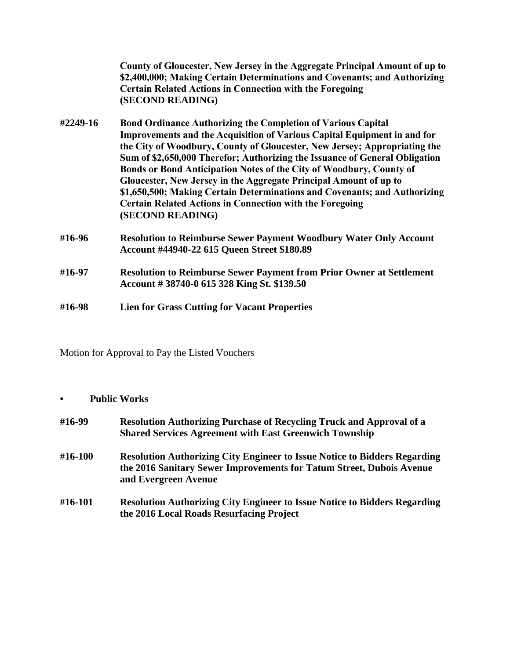|          | County of Gloucester, New Jersey in the Aggregate Principal Amount of up to<br>\$2,400,000; Making Certain Determinations and Covenants; and Authorizing<br><b>Certain Related Actions in Connection with the Foregoing</b><br>(SECOND READING)                                                                                                                                                                                                                                                                                                                                                                             |
|----------|-----------------------------------------------------------------------------------------------------------------------------------------------------------------------------------------------------------------------------------------------------------------------------------------------------------------------------------------------------------------------------------------------------------------------------------------------------------------------------------------------------------------------------------------------------------------------------------------------------------------------------|
| #2249-16 | <b>Bond Ordinance Authorizing the Completion of Various Capital</b><br>Improvements and the Acquisition of Various Capital Equipment in and for<br>the City of Woodbury, County of Gloucester, New Jersey; Appropriating the<br>Sum of \$2,650,000 Therefor; Authorizing the Issuance of General Obligation<br>Bonds or Bond Anticipation Notes of the City of Woodbury, County of<br>Gloucester, New Jersey in the Aggregate Principal Amount of up to<br>\$1,650,500; Making Certain Determinations and Covenants; and Authorizing<br><b>Certain Related Actions in Connection with the Foregoing</b><br>(SECOND READING) |
| #16-96   | <b>Resolution to Reimburse Sewer Payment Woodbury Water Only Account</b><br><b>Account #44940-22 615 Queen Street \$180.89</b>                                                                                                                                                                                                                                                                                                                                                                                                                                                                                              |
| #16-97   | <b>Resolution to Reimburse Sewer Payment from Prior Owner at Settlement</b><br>Account #38740-0 615 328 King St. \$139.50                                                                                                                                                                                                                                                                                                                                                                                                                                                                                                   |
| #16-98   | <b>Lien for Grass Cutting for Vacant Properties</b>                                                                                                                                                                                                                                                                                                                                                                                                                                                                                                                                                                         |

Motion for Approval to Pay the Listed Vouchers

**• Public Works**

| #16-99  | <b>Resolution Authorizing Purchase of Recycling Truck and Approval of a</b><br><b>Shared Services Agreement with East Greenwich Township</b>                                     |
|---------|----------------------------------------------------------------------------------------------------------------------------------------------------------------------------------|
| #16-100 | <b>Resolution Authorizing City Engineer to Issue Notice to Bidders Regarding</b><br>the 2016 Sanitary Sewer Improvements for Tatum Street, Dubois Avenue<br>and Evergreen Avenue |
| #16-101 | <b>Resolution Authorizing City Engineer to Issue Notice to Bidders Regarding</b><br>the 2016 Local Roads Resurfacing Project                                                     |